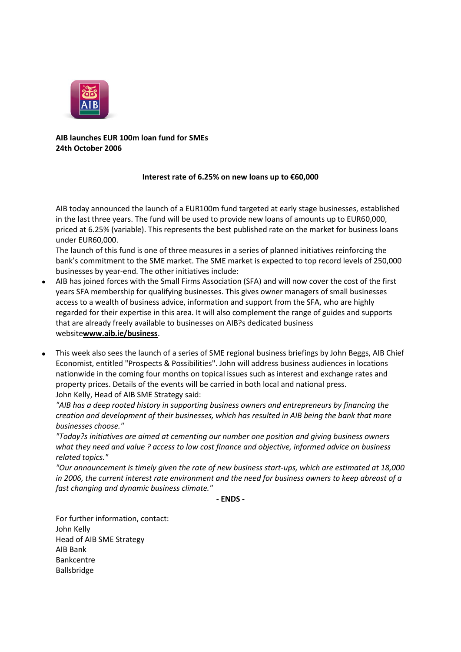

**AIB launches EUR 100m loan fund for SMEs 24th October 2006**

## **Interest rate of 6.25% on new loans up to €60,000**

AIB today announced the launch of a EUR100m fund targeted at early stage businesses, established in the last three years. The fund will be used to provide new loans of amounts up to EUR60,000, priced at 6.25% (variable). This represents the best published rate on the market for business loans under EUR60,000.

The launch of this fund is one of three measures in a series of planned initiatives reinforcing the bank's commitment to the SME market. The SME market is expected to top record levels of 250,000 businesses by year-end. The other initiatives include:

- AIB has joined forces with the Small Firms Association (SFA) and will now cover the cost of the first years SFA membership for qualifying businesses. This gives owner managers of small businesses access to a wealth of business advice, information and support from the SFA, who are highly regarded for their expertise in this area. It will also complement the range of guides and supports that are already freely available to businesses on AIB?s dedicated business website**[www.aib.ie/business](http://www.aib.ie/business)**.
- This week also sees the launch of a series of SME regional business briefings by John Beggs, AIB Chief  $\bullet$ Economist, entitled "Prospects & Possibilities". John will address business audiences in locations nationwide in the coming four months on topical issues such as interest and exchange rates and property prices. Details of the events will be carried in both local and national press. John Kelly, Head of AIB SME Strategy said:

*"AIB has a deep rooted history in supporting business owners and entrepreneurs by financing the creation and development of their businesses, which has resulted in AIB being the bank that more businesses choose."*

*"Today?s initiatives are aimed at cementing our number one position and giving business owners what they need and value ? access to low cost finance and objective, informed advice on business related topics."*

*"Our announcement is timely given the rate of new business start-ups, which are estimated at 18,000 in 2006, the current interest rate environment and the need for business owners to keep abreast of a fast changing and dynamic business climate."*

**- ENDS -**

For further information, contact: John Kelly Head of AIB SME Strategy AIB Bank Bankcentre Ballsbridge